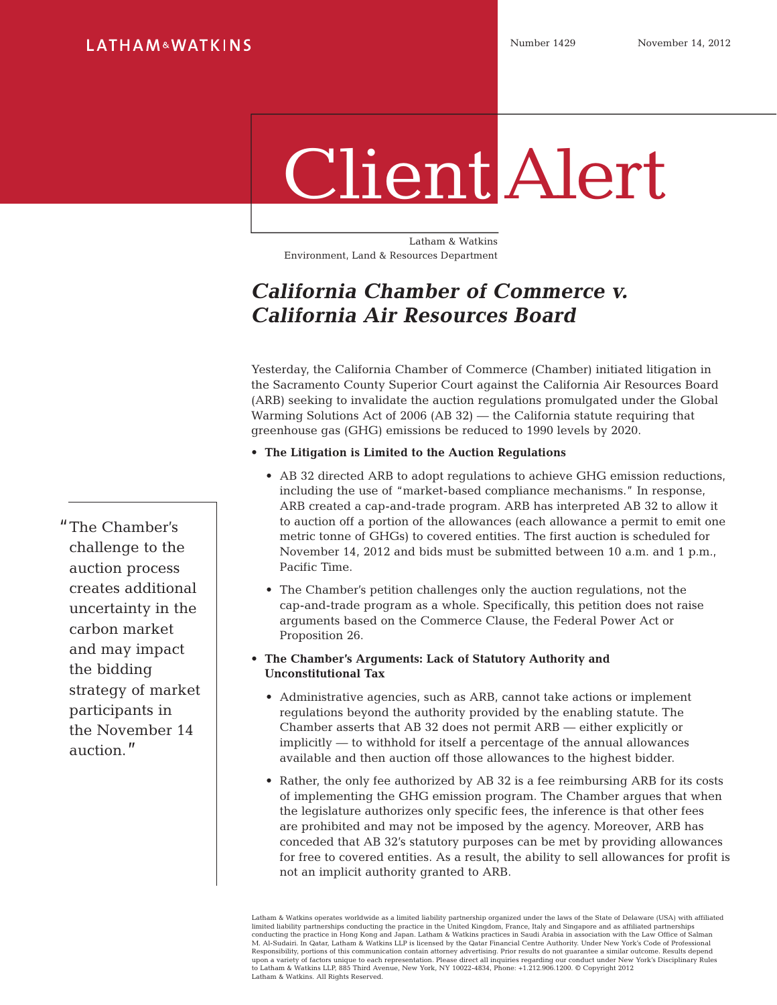# **LATHAM&WATKINS**

# Client Alert

Latham & Watkins Environment, Land & Resources Department

# **California Chamber of Commerce v. California Air Resources Board**

Yesterday, the California Chamber of Commerce (Chamber) initiated litigation in the Sacramento County Superior Court against the California Air Resources Board (ARB) seeking to invalidate the auction regulations promulgated under the Global Warming Solutions Act of 2006 (AB 32) — the California statute requiring that greenhouse gas (GHG) emissions be reduced to 1990 levels by 2020.

#### • **The Litigation is Limited to the Auction Regulations**

- • AB 32 directed ARB to adopt regulations to achieve GHG emission reductions, including the use of "market-based compliance mechanisms." In response, ARB created a cap-and-trade program. ARB has interpreted AB 32 to allow it to auction off a portion of the allowances (each allowance a permit to emit one metric tonne of GHGs) to covered entities. The first auction is scheduled for November 14, 2012 and bids must be submitted between 10 a.m. and 1 p.m., Pacific Time.
- The Chamber's petition challenges only the auction regulations, not the cap-and-trade program as a whole. Specifically, this petition does not raise arguments based on the Commerce Clause, the Federal Power Act or Proposition 26.

#### • **The Chamber's Arguments: Lack of Statutory Authority and Unconstitutional Tax**

- • Administrative agencies, such as ARB, cannot take actions or implement regulations beyond the authority provided by the enabling statute. The Chamber asserts that AB 32 does not permit ARB — either explicitly or implicitly — to withhold for itself a percentage of the annual allowances available and then auction off those allowances to the highest bidder.
- • Rather, the only fee authorized by AB 32 is a fee reimbursing ARB for its costs of implementing the GHG emission program. The Chamber argues that when the legislature authorizes only specific fees, the inference is that other fees are prohibited and may not be imposed by the agency. Moreover, ARB has conceded that AB 32's statutory purposes can be met by providing allowances for free to covered entities. As a result, the ability to sell allowances for profit is not an implicit authority granted to ARB.

Latham & Watkins operates worldwide as a limited liability partnership organized under the laws of the State of Delaware (USA) with affiliated limited liability partnerships conducting the practice in the United Kingdom, France, Italy and Singapore and as affiliated partnerships<br>conducting the practice in Hong Kong and Japan. Latham & Watkins practices in Saudi A upon a variety of factors unique to each representation. Please direct all inquiries regarding our conduct under New York's Disciplinary Rules<br>to Latham & Watkins LLP, 885 Third Avenue, New York, NY 10022-4834, Phone: +1.2 Latham & Watkins. All Rights Reserved.

"The Chamber's challenge to the auction process creates additional uncertainty in the carbon market and may impact the bidding strategy of market participants in the November 14 auction."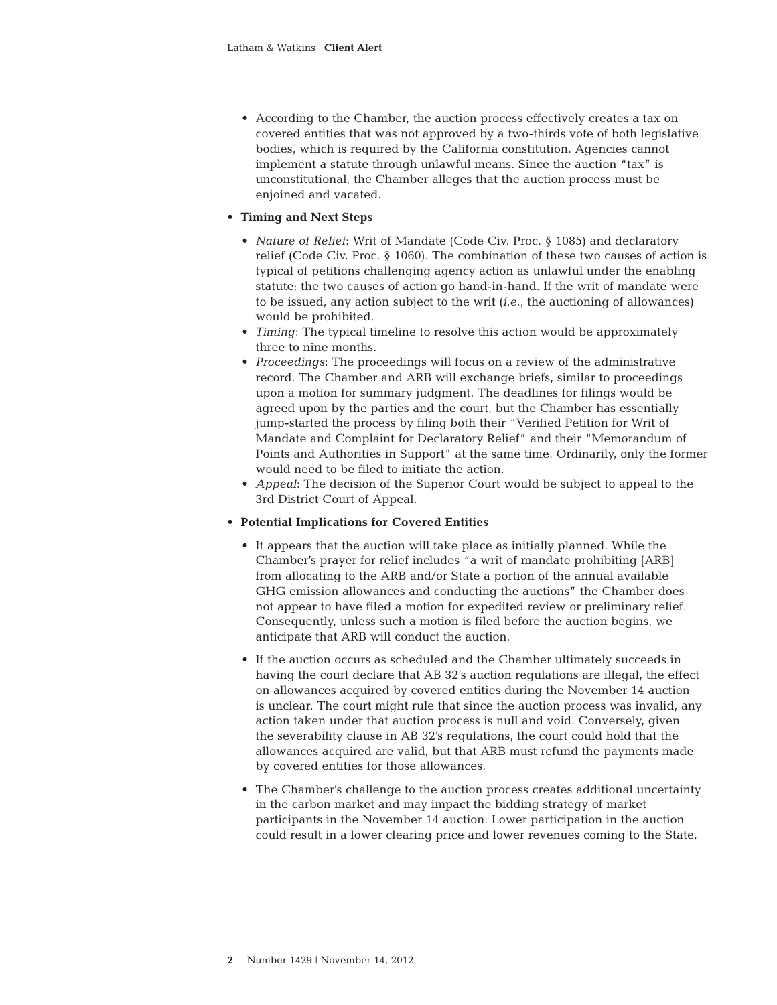• According to the Chamber, the auction process effectively creates a tax on covered entities that was not approved by a two-thirds vote of both legislative bodies, which is required by the California constitution. Agencies cannot implement a statute through unlawful means. Since the auction "tax" is unconstitutional, the Chamber alleges that the auction process must be enjoined and vacated.

#### • **Timing and Next Steps**

- *Nature of Relief:* Writ of Mandate (Code Civ. Proc. § 1085) and declaratory relief (Code Civ. Proc. § 1060). The combination of these two causes of action is typical of petitions challenging agency action as unlawful under the enabling statute; the two causes of action go hand-in-hand. If the writ of mandate were to be issued, any action subject to the writ (*i.e.*, the auctioning of allowances) would be prohibited.
- *Timing*: The typical timeline to resolve this action would be approximately three to nine months.
- • *Proceedings*: The proceedings will focus on a review of the administrative record. The Chamber and ARB will exchange briefs, similar to proceedings upon a motion for summary judgment. The deadlines for filings would be agreed upon by the parties and the court, but the Chamber has essentially jump-started the process by filing both their "Verified Petition for Writ of Mandate and Complaint for Declaratory Relief" and their "Memorandum of Points and Authorities in Support" at the same time. Ordinarily, only the former would need to be filed to initiate the action.
- • *Appeal*: The decision of the Superior Court would be subject to appeal to the 3rd District Court of Appeal.

#### • **Potential Implications for Covered Entities**

- • It appears that the auction will take place as initially planned. While the Chamber's prayer for relief includes "a writ of mandate prohibiting [ARB] from allocating to the ARB and/or State a portion of the annual available GHG emission allowances and conducting the auctions" the Chamber does not appear to have filed a motion for expedited review or preliminary relief. Consequently, unless such a motion is filed before the auction begins, we anticipate that ARB will conduct the auction.
- • If the auction occurs as scheduled and the Chamber ultimately succeeds in having the court declare that AB 32's auction regulations are illegal, the effect on allowances acquired by covered entities during the November 14 auction is unclear. The court might rule that since the auction process was invalid, any action taken under that auction process is null and void. Conversely, given the severability clause in AB 32's regulations, the court could hold that the allowances acquired are valid, but that ARB must refund the payments made by covered entities for those allowances.
- The Chamber's challenge to the auction process creates additional uncertainty in the carbon market and may impact the bidding strategy of market participants in the November 14 auction. Lower participation in the auction could result in a lower clearing price and lower revenues coming to the State.